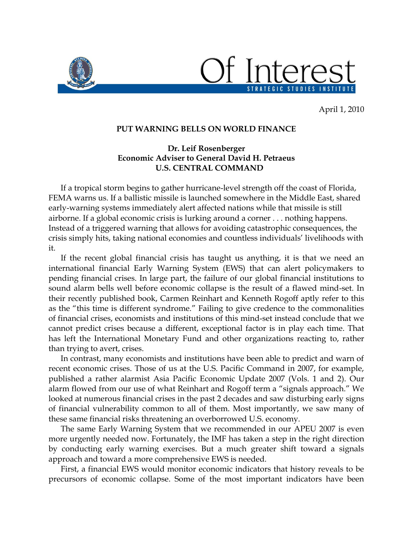

STRATEGIC STUDIES INSTITUTE

April 1, 2010

## **PUT WARNING BELLS ON WORLD FINANCE**

## **Dr. Leif Rosenberger Economic Adviser to General David H. Petraeus U.S. CENTRAL COMMAND**

 If a tropical storm begins to gather hurricane-level strength off the coast of Florida, FEMA warns us. If a ballistic missile is launched somewhere in the Middle East, shared early-warning systems immediately alert affected nations while that missile is still airborne. If a global economic crisis is lurking around a corner . . . nothing happens. Instead of a triggered warning that allows for avoiding catastrophic consequences, the crisis simply hits, taking national economies and countless individuals' livelihoods with it.

 If the recent global financial crisis has taught us anything, it is that we need an international financial Early Warning System (EWS) that can alert policymakers to pending financial crises. In large part, the failure of our global financial institutions to sound alarm bells well before economic collapse is the result of a flawed mind-set. In their recently published book, Carmen Reinhart and Kenneth Rogoff aptly refer to this as the "this time is different syndrome." Failing to give credence to the commonalities of financial crises, economists and institutions of this mind-set instead conclude that we cannot predict crises because a different, exceptional factor is in play each time. That has left the International Monetary Fund and other organizations reacting to, rather than trying to avert, crises.

 In contrast, many economists and institutions have been able to predict and warn of recent economic crises. Those of us at the U.S. Pacific Command in 2007, for example, published a rather alarmist Asia Pacific Economic Update 2007 (Vols. 1 and 2). Our alarm flowed from our use of what Reinhart and Rogoff term a "signals approach." We looked at numerous financial crises in the past 2 decades and saw disturbing early signs of financial vulnerability common to all of them. Most importantly, we saw many of these same financial risks threatening an overborrowed U.S. economy.

 The same Early Warning System that we recommended in our APEU 2007 is even more urgently needed now. Fortunately, the IMF has taken a step in the right direction by conducting early warning exercises. But a much greater shift toward a signals approach and toward a more comprehensive EWS is needed.

 First, a financial EWS would monitor economic indicators that history reveals to be precursors of economic collapse. Some of the most important indicators have been